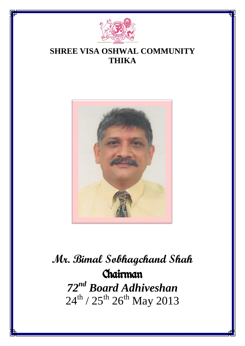

### **SHREE VISA OSHWAL COMMUNITY THIKA**



# **Mr. Bimal Sobhagchand Shah** Chairman *72nd Board Adhiveshan*  $24^{th}$  /  $25^{th}$   $26^{th}$  May  $2013$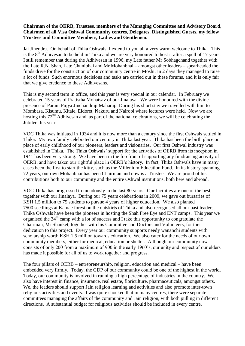#### **Chairman of the OERB, Trustees, members of the Managing Committee and Advisory Board, Chairmen of all Visa Oshwal Community centres, Delegates, Distinguished Guests, my fellow Trustees and Committee Members, Ladies and Gentlemen.**

Jai Jinendra. On behalf of Thika Oshwals, I extend to you all a very warm welcome to Thika. This is the  $8<sup>th</sup>$  Adhivesan to be held in Thika and we are very honoured to host it after a spell of 17 years. I still remember that during the Adhivesan in 1996, my Late father Mr Sobhagchand together with the Late R.N. Shah, Late Chunibhai and Mr Mohanbhai – amongst other leaders – spearheaded the funds drive for the construction of our community centre in Moshi. In 2 days they managed to raise a lot of funds. Such enormous decisions and tasks are carried out in these forums, and it is only fair that we give credence to these Adhivesans.

This is my second term in office, and this year is very special in our calendar. In February we celebrated 15 years of Pratistha Mohatsav of our Jinalaya. We were honoured with the divine presence of Param Pujya Jinchandraji Maharaj. During his short stay we travelled with him to Mombasa, Kisumu, Kitale, Eldoret, Nakuru and Nairobi where lectures were held. Now we are hosting this 72<sup>nd</sup> Adhivesan and, as part of the national celebrations, we will be celebrating the Jubilee this year.

VOC Thika was initiated in 1934 and it is now more than a century since the first Oshwals settled in Thika. My own family celebrated our century in Thika last year. Thika has been the birth place or place of early childhood of our pioneers, leaders and visionaries. Our first Oshwal industry was established in Thika. The Thika Oshwals' support for the activities of OERB from its inception in 1941 has been very strong. We have been in the forefront of supporting any fundraising activity of OERB, and have taken our rightful place in OERB's history. In fact, Thika Oshwals have in many cases been the first to start the kitty, such as the Millenium Education Fund. In its history spanning 72 years, our own Mohanbhai has been Chairman and now is a Trustee. We are proud of his contributions both to our community and the entire Oshwal institutions, both here and abroad.

VOC Thika has progressed tremendously in the last 80 years. Our facilities are one of the best, together with our Jinalaya. During our 75 years celebrations in 2009, we gave out bursaries of KSH 1.5 million to 75 students to pursue 4 years of higher education. We also planted 7500 seedlings at Kamae forest on the outskirts of Thika and also recognised all our past leaders. Thika Oshwals have been the pioneers in hosting the Shah Free Eye and ENT camps. This year we organised the  $34<sup>th</sup>$  camp with a lot of success and I take this opportunity to congratulate the Chairman, Mr Shanket, together with his Committee and Doctors and Volunteers, for their dedication to this project. Every year our community supports needy wananchi students with scholarship worth KSH 1.5 million towards education. We also cater for the needs of our own community members, either for medical, education or shelter. Although our community now consists of only 200 from a maximum of 900 in the early 1960's, our unity and respect of our elders has made it possible for all of us to work together and progress.

The four pillars of OERB – entrepreneurship, religion, education and medical – have been embedded very firmly. Today, the GDP of our community could be one of the highest in the world. Today, our community is involved in running a high percentage of industries in the country. We also have interest in finance, insurance, real estate, floriculture, pharmaceuticals, amongst others. We, the leaders should support Jain religion learning and activities and also promote inter-town religious activities and events. I was quite shocked that in many centres, there were separate committees managing the affairs of the community and Jain religion, with both pulling in different directions. A substantial budget for religious activities should be included in every centre.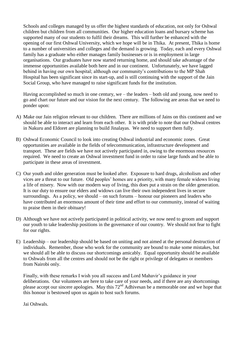Schools and colleges managed by us offer the highest standards of education, not only for Oshwal children but children from all communities. Our higher education loans and bursary scheme has supported many of our students to fulfil their dreams. This will further be enhanced with the opening of our first Oshwal University, which we hope will be in Thika. At present, Thika is home to a number of universities and colleges and the demand is growing. Today, each and every Oshwal family has a graduate who either manages family businesses or is in employment in large organisations. Our graduates have now started returning home, and should take advantage of the immense opportunities available both here and in our continent. Unfortunately, we have lagged behind in having our own hospital; although our community's contributions to the MP Shah Hospital has been significant since its start-up, and is still continuing with the support of the Jain Social Group, who have managed to raise significant funds for the institution.

Having accomplished so much in one century, we – the leaders – both old and young, now need to go and chart our future and our vision for the next century. The following are areas that we need to ponder upon:

- A) Make our Jain religion relevant to our children. There are millions of Jains on this continent and we should be able to interact and learn from each other. It is with pride to note that our Oshwal centres in Nakuru and Eldoret are planning to build Jinalayas. We need to support them fully.
- B) Oshwal Economic Council to look into creating Oshwal industrial and economic zones. Great opportunities are available in the fields of telecommunication, infrastructure development and transport. These are fields we have not actively participated in, owing to the enormous resources required. We need to create an Oshwal investment fund in order to raise large funds and be able to participate in these areas of investment.
- C) Our youth and older generation must be looked after. Exposure to hard drugs, alcoholism and other vices are a threat to our future. Old peoples' homes are a priority, with many female widows living a life of misery. Now with our modern way of living, this does put a strain on the older generation. It is our duty to ensure our elders and widows can live their own independent lives in secure surroundings. As a policy, we should – on such forums – honour our pioneers and leaders who have contributed an enormous amount of their time and effort to our community, instead of waiting to praise them in their obituary!
- D) Although we have not actively participated in political activity, we now need to groom and support our youth to take leadership positions in the governance of our country. We should not fear to fight for our rights.
- E) Leadership our leadership should be based on uniting and not aimed at the personal destruction of individuals. Remember, those who work for the community are bound to make some mistakes, but we should all be able to discuss our shortcomings amicably. Equal opportunity should be available to Oshwals from all the centres and should not be the right or privilege of delegates or members from Nairobi only.

Finally, with these remarks I wish you all success and Lord Mahavir's guidance in your deliberations. Our volunteers are here to take care of your needs, and if there are any shortcomings please accept our sincere apologies. May this 72<sup>nd</sup> Adhivesan be a memorable one and we hope that this honour is bestowed upon us again to host such forums.

Jai Oshwals.